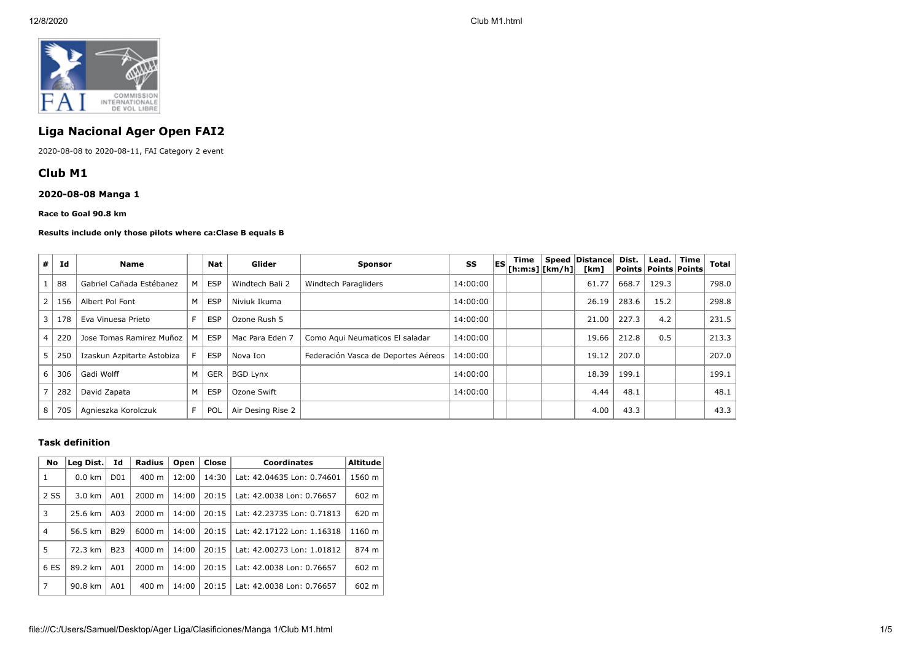

# **Liga Nacional Ager Open FAI2**

2020-08-08 to 2020-08-11, FAI Category 2 event

## **Club M1**

## **2020-08-08 Manga 1**

#### **Race to Goal 90.8 km**

#### **Results include only those pilots where ca:Clase B equals B**

| #              | Id  | <b>Name</b>                |   | Nat        | Glider            | <b>Sponsor</b>                      | SS       | <b>IES</b> | Time<br>$ $ [h:m:s] $ $ [km/h] $ $ | Speed   Distance  <br>[km] | Dist.<br>Points   Points   Points | Lead. | Time | Total |
|----------------|-----|----------------------------|---|------------|-------------------|-------------------------------------|----------|------------|------------------------------------|----------------------------|-----------------------------------|-------|------|-------|
|                | 88  | Gabriel Cañada Estébanez   | м | <b>ESP</b> | Windtech Bali 2   | Windtech Paragliders                | 14:00:00 |            |                                    | 61.77                      | 668.7                             | 129.3 |      | 798.0 |
| $\overline{2}$ | 156 | Albert Pol Font            | M | <b>ESP</b> | Niviuk Ikuma      |                                     | 14:00:00 |            |                                    | 26.19                      | 283.6                             | 15.2  |      | 298.8 |
| 3              | 178 | Eva Vinuesa Prieto         | E | <b>ESP</b> | Ozone Rush 5      |                                     | 14:00:00 |            |                                    | 21.00                      | 227.3                             | 4.2   |      | 231.5 |
| 4              | 220 | Jose Tomas Ramirez Muñoz   |   | <b>ESP</b> | Mac Para Eden 7   | Como Aqui Neumaticos El saladar     | 14:00:00 |            |                                    | 19.66                      | 212.8                             | 0.5   |      | 213.3 |
| 5              | 250 | Izaskun Azpitarte Astobiza |   | <b>ESP</b> | Nova Ion          | Federación Vasca de Deportes Aéreos | 14:00:00 |            |                                    | 19.12                      | 207.0                             |       |      | 207.0 |
| 6              | 306 | Gadi Wolff                 | M | <b>GER</b> | <b>BGD Lynx</b>   |                                     | 14:00:00 |            |                                    | 18.39                      | 199.1                             |       |      | 199.1 |
|                | 282 | David Zapata               | M | <b>ESP</b> | Ozone Swift       |                                     | 14:00:00 |            |                                    | 4.44                       | 48.1                              |       |      | 48.1  |
| 8              | 705 | Agnieszka Korolczuk        | F | POL        | Air Desing Rise 2 |                                     |          |            |                                    | 4.00                       | 43.3                              |       |      | 43.3  |

## **Task definition**

| No             | Id<br>Leg Dist.              |            | Radius<br>Close<br>Open |       | <b>Coordinates</b> | <b>Altitude</b>            |        |
|----------------|------------------------------|------------|-------------------------|-------|--------------------|----------------------------|--------|
| 1              | $0.0$ km<br>D <sub>0</sub> 1 |            | $400 \text{ m}$         | 12:00 | 14:30              | Lat: 42.04635 Lon: 0.74601 | 1560 m |
| 2 SS           | $3.0 \text{ km}$             | A01        | $2000 \; \text{m}$      | 14:00 | 20:15              | Lat: 42.0038 Lon: 0.76657  | 602 m  |
| 3              | 25.6 km                      | A03        | $2000 \; \text{m}$      | 14:00 | 20:15              | Lat: 42.23735 Lon: 0.71813 | 620 m  |
| $\overline{4}$ | 56.5 km                      | <b>B29</b> | 6000 m                  | 14:00 | 20:15              | Lat: 42.17122 Lon: 1.16318 | 1160 m |
| 5              | 72.3 km                      | <b>B23</b> | $4000 \; \text{m}$      | 14:00 | 20:15              | Lat: 42.00273 Lon: 1.01812 | 874 m  |
| 6 ES           | 89.2 km                      | A01        | $2000 \; \text{m}$      | 14:00 | 20:15              | Lat: 42.0038 Lon: 0.76657  | 602 m  |
| 7              | 90.8 km                      | A01        | $400 \text{ m}$         | 14:00 | 20:15              | Lat: 42.0038 Lon: 0.76657  | 602 m  |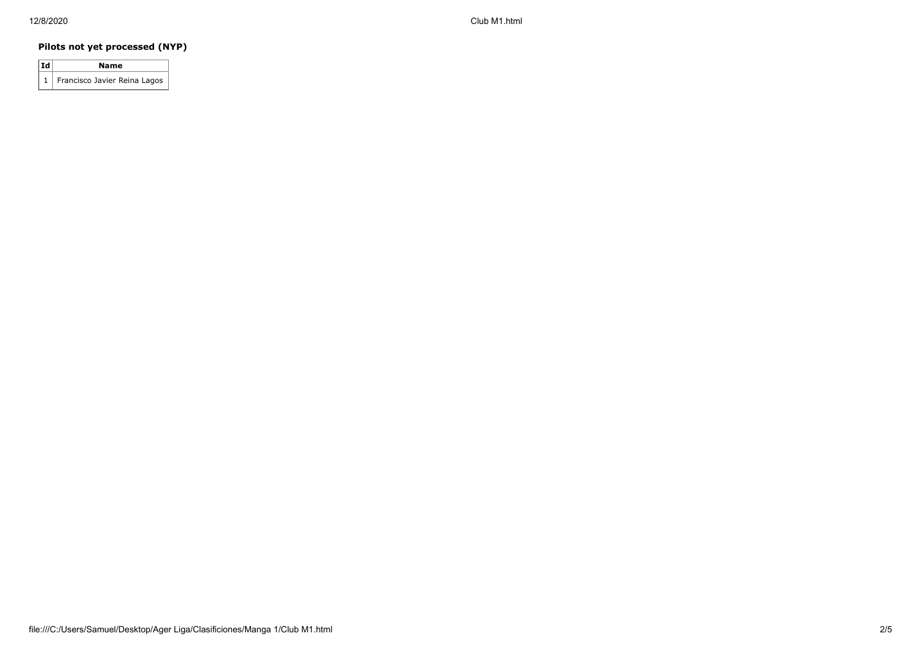12/8/2020 Club M1.html

## **Pilots not yet processed (NYP)**

| Id | Name                             |
|----|----------------------------------|
|    | 1   Francisco Javier Reina Lagos |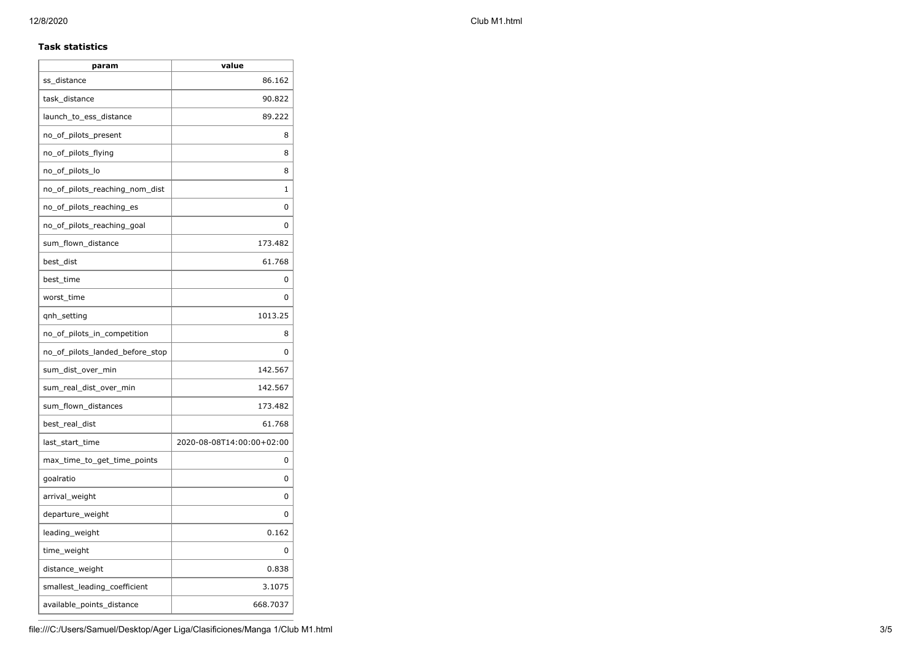12/8/2020 Club M1.html

## **Task statistics**

| param                           | value                     |
|---------------------------------|---------------------------|
| ss distance                     | 86.162                    |
| task_distance                   | 90.822                    |
| launch_to_ess_distance          | 89.222                    |
| no_of_pilots_present            | 8                         |
| no_of_pilots_flying             | 8                         |
| no_of_pilots_lo                 | 8                         |
| no of pilots reaching nom dist  | 1                         |
| no_of_pilots_reaching_es        | 0                         |
| no_of_pilots_reaching_goal      | 0                         |
| sum_flown_distance              | 173.482                   |
| best_dist                       | 61.768                    |
| best_time                       | 0                         |
| worst_time                      | 0                         |
| qnh_setting                     | 1013.25                   |
| no_of_pilots_in_competition     | 8                         |
| no of pilots landed before stop | 0                         |
| sum_dist_over_min               | 142.567                   |
| sum_real_dist_over_min          | 142.567                   |
| sum_flown_distances             | 173.482                   |
| best_real_dist                  | 61.768                    |
| last_start_time                 | 2020-08-08T14:00:00+02:00 |
| max_time_to_get_time_points     | 0                         |
| goalratio                       | 0                         |
| arrival_weight                  | 0                         |
| departure_weight                | 0                         |
| leading_weight                  | 0.162                     |
| time_weight                     | 0                         |
| distance_weight                 | 0.838                     |
| smallest_leading_coefficient    | 3.1075                    |
| available_points_distance       | 668.7037                  |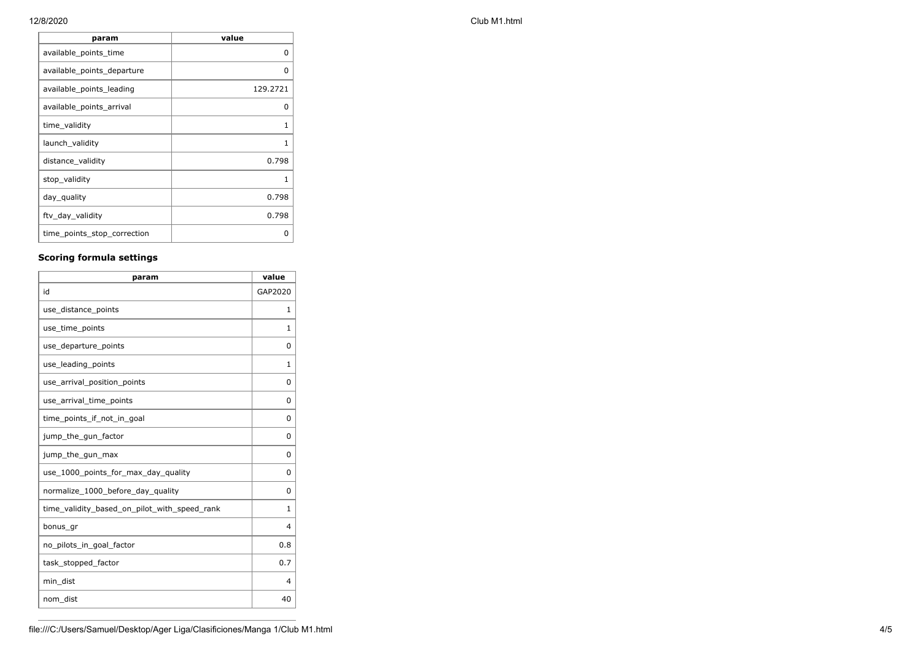**param value** available\_points\_time available of the contract of the contract of the contract of the contract of the contract o available\_points\_departure 0 available\_points\_leading and and the state of 129.2721 available\_points\_arrival available of the control of the control of the control of the control of the control o time\_validity 1 launch\_validity 1 distance\_validity and a set of the contract of the contract of the contract of the contract of the contract of the contract of the contract of the contract of the contract of the contract of the contract of the contract of stop\_validity 1 day\_quality 0.798 ftv\_day\_validity and the control of the control of the control of the control of the control of the control of the control of the control of the control of the control of the control of the control of the control of the co time\_points\_stop\_correction 0

## **Scoring formula settings**

| param                                        | value        |
|----------------------------------------------|--------------|
| id                                           | GAP2020      |
| use_distance_points                          | 1            |
| use_time_points                              | 1            |
| use_departure_points                         | $\Omega$     |
| use_leading_points                           | 1            |
| use_arrival_position_points                  | $\Omega$     |
| use_arrival_time_points                      | $\Omega$     |
| time points if not in goal                   | <sup>0</sup> |
| jump_the_gun_factor                          | 0            |
| jump_the_gun_max                             | $\Omega$     |
| use_1000_points_for_max_day_quality          | $\Omega$     |
| normalize_1000_before_day_quality            | 0            |
| time_validity_based_on_pilot_with_speed_rank | 1            |
| bonus_gr                                     | 4            |
| no pilots in goal factor                     | 0.8          |
| task_stopped_factor                          | 0.7          |
| min dist                                     | 4            |
| nom_dist                                     | 40           |

### 12/8/2020 Club M1.html